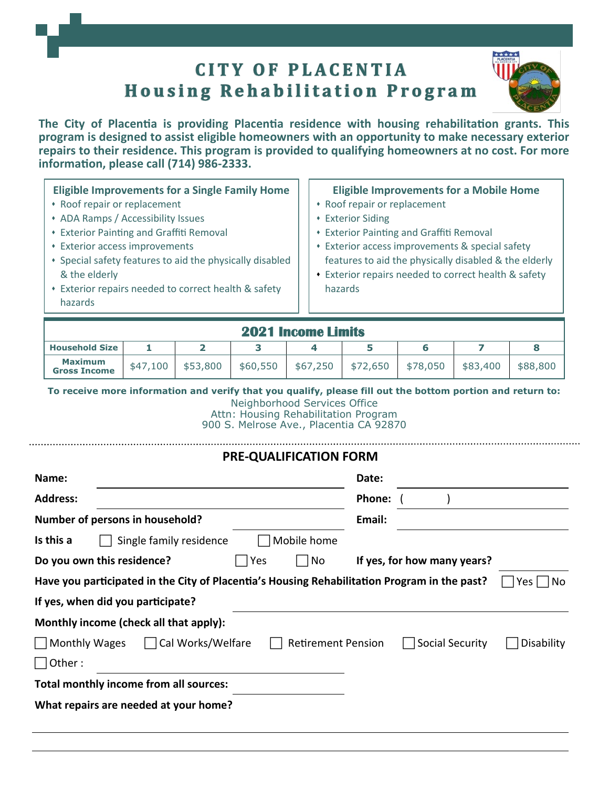# **CITY OF PLACENTIA Housing Rehabilitation Program**

**The City of Placentia is providing Placentia residence with housing rehabilitation grants. This program is designed to assist eligible homeowners with an opportunity to make necessary exterior repairs to their residence. This program is provided to qualifying homeowners at no cost. For more information, please call (714) 986-2333.**

| * Exterior repairs needed to correct health & safety<br>hazards<br>hazards | <b>Eligible Improvements for a Single Family Home</b><br>* Roof repair or replacement<br>• ADA Ramps / Accessibility Issues<br><b>* Exterior Painting and Graffiti Removal</b><br>• Exterior access improvements<br>• Special safety features to aid the physically disabled<br>& the elderly | <b>Eligible Improvements for a Mobile Home</b><br>• Roof repair or replacement<br><b>* Exterior Siding</b><br><b>* Exterior Painting and Graffiti Removal</b><br>• Exterior access improvements & special safety<br>features to aid the physically disabled & the elderly<br>• Exterior repairs needed to correct health & safety |
|----------------------------------------------------------------------------|-----------------------------------------------------------------------------------------------------------------------------------------------------------------------------------------------------------------------------------------------------------------------------------------------|-----------------------------------------------------------------------------------------------------------------------------------------------------------------------------------------------------------------------------------------------------------------------------------------------------------------------------------|
|----------------------------------------------------------------------------|-----------------------------------------------------------------------------------------------------------------------------------------------------------------------------------------------------------------------------------------------------------------------------------------------|-----------------------------------------------------------------------------------------------------------------------------------------------------------------------------------------------------------------------------------------------------------------------------------------------------------------------------------|

| <b>2021 Income Limits</b>      |          |          |          |          |          |          |          |          |
|--------------------------------|----------|----------|----------|----------|----------|----------|----------|----------|
| <b>Household Size</b>          |          |          |          |          |          |          |          |          |
| Maximum<br><b>Gross Income</b> | \$47,100 | \$53,800 | \$60,550 | \$67,250 | \$72,650 | \$78,050 | \$83,400 | \$88,800 |

**To receive more information and verify that you qualify, please fill out the bottom portion and return to:**

Neighborhood Services Office

Attn: Housing Rehabilitation Program 900 S. Melrose Ave., Placentia CA 92870

# **PRE-QUALIFICATION FORM Name: Date: Address: Phone:** ( )

| Auul caa.                                                                                    |                         |                           | <b>FILUITE.</b> |                             |            |
|----------------------------------------------------------------------------------------------|-------------------------|---------------------------|-----------------|-----------------------------|------------|
| Number of persons in household?                                                              |                         |                           | Email:          |                             |            |
| Is this a                                                                                    | Single family residence | Mobile home               |                 |                             |            |
| Do you own this residence?                                                                   | ، Yes                   | No                        |                 | If yes, for how many years? |            |
| Have you participated in the City of Placentia's Housing Rehabilitation Program in the past? |                         |                           |                 |                             | Yes<br>No  |
| If yes, when did you participate?                                                            |                         |                           |                 |                             |            |
| Monthly income (check all that apply):                                                       |                         |                           |                 |                             |            |
| Monthly Wages                                                                                | Cal Works/Welfare       | <b>Retirement Pension</b> |                 | Social Security             | Disability |
| $\Box$ Other :                                                                               |                         |                           |                 |                             |            |
| Total monthly income from all sources:                                                       |                         |                           |                 |                             |            |
| What repairs are needed at your home?                                                        |                         |                           |                 |                             |            |
|                                                                                              |                         |                           |                 |                             |            |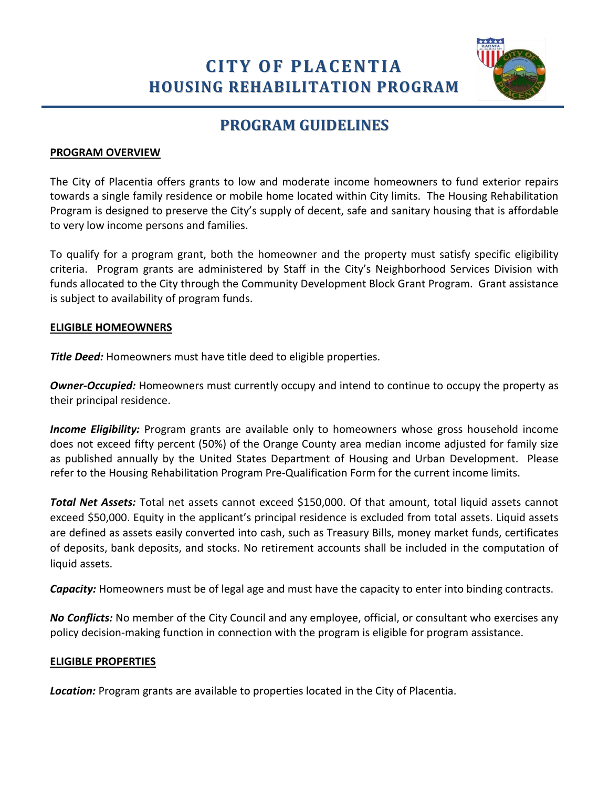# **CITY OF PLACENTIA HOUSING REHABILITATION PROGRAM**



### **PROGRAM GUIDELINES**

#### **PROGRAM OVERVIEW**

The City of Placentia offers grants to low and moderate income homeowners to fund exterior repairs towards a single family residence or mobile home located within City limits. The Housing Rehabilitation Program is designed to preserve the City's supply of decent, safe and sanitary housing that is affordable to very low income persons and families.

To qualify for a program grant, both the homeowner and the property must satisfy specific eligibility criteria. Program grants are administered by Staff in the City's Neighborhood Services Division with funds allocated to the City through the Community Development Block Grant Program. Grant assistance is subject to availability of program funds.

#### **ELIGIBLE HOMEOWNERS**

*Title Deed:* Homeowners must have title deed to eligible properties.

**Owner-Occupied:** Homeowners must currently occupy and intend to continue to occupy the property as their principal residence.

*Income Eligibility:* Program grants are available only to homeowners whose gross household income does not exceed fifty percent (50%) of the Orange County area median income adjusted for family size as published annually by the United States Department of Housing and Urban Development. Please refer to the Housing Rehabilitation Program Pre-Qualification Form for the current income limits.

*Total Net Assets:* Total net assets cannot exceed \$150,000. Of that amount, total liquid assets cannot exceed \$50,000. Equity in the applicant's principal residence is excluded from total assets. Liquid assets are defined as assets easily converted into cash, such as Treasury Bills, money market funds, certificates of deposits, bank deposits, and stocks. No retirement accounts shall be included in the computation of liquid assets.

*Capacity:* Homeowners must be of legal age and must have the capacity to enter into binding contracts.

*No Conflicts:* No member of the City Council and any employee, official, or consultant who exercises any policy decision-making function in connection with the program is eligible for program assistance.

#### **ELIGIBLE PROPERTIES**

*Location:* Program grants are available to properties located in the City of Placentia.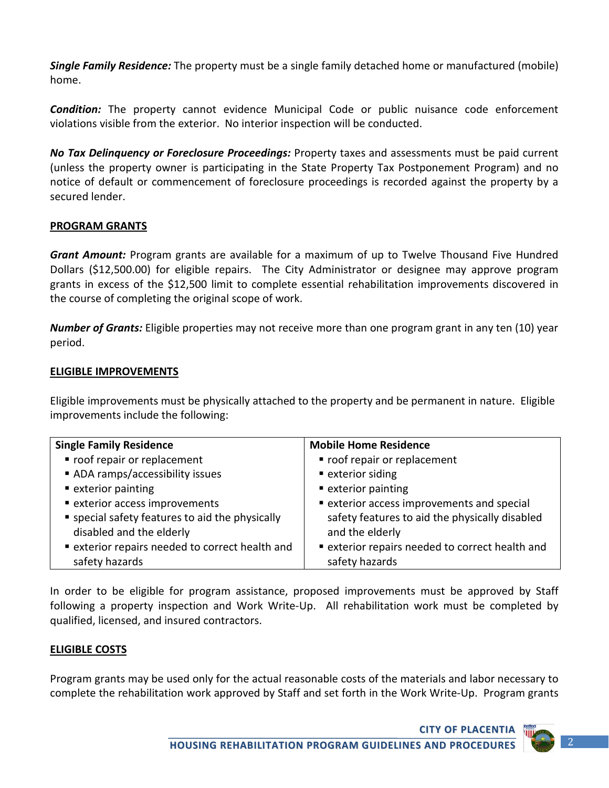*Single Family Residence:* The property must be a single family detached home or manufactured (mobile) home.

*Condition:* The property cannot evidence Municipal Code or public nuisance code enforcement violations visible from the exterior. No interior inspection will be conducted.

*No Tax Delinquency or Foreclosure Proceedings:* Property taxes and assessments must be paid current (unless the property owner is participating in the State Property Tax Postponement Program) and no notice of default or commencement of foreclosure proceedings is recorded against the property by a secured lender.

#### **PROGRAM GRANTS**

*Grant Amount:* Program grants are available for a maximum of up to Twelve Thousand Five Hundred Dollars (\$12,500.00) for eligible repairs. The City Administrator or designee may approve program grants in excess of the \$12,500 limit to complete essential rehabilitation improvements discovered in the course of completing the original scope of work.

*Number of Grants:* Eligible properties may not receive more than one program grant in any ten (10) year period.

#### **ELIGIBLE IMPROVEMENTS**

Eligible improvements must be physically attached to the property and be permanent in nature. Eligible improvements include the following:

| <b>Single Family Residence</b>                  | <b>Mobile Home Residence</b>                    |
|-------------------------------------------------|-------------------------------------------------|
| " roof repair or replacement                    | ■ roof repair or replacement                    |
| ADA ramps/accessibility issues                  | ■ exterior siding                               |
| ■ exterior painting                             | ■ exterior painting                             |
| • exterior access improvements                  | <b>Exterior access improvements and special</b> |
| " special safety features to aid the physically | safety features to aid the physically disabled  |
| disabled and the elderly                        | and the elderly                                 |
| " exterior repairs needed to correct health and | • exterior repairs needed to correct health and |
| safety hazards                                  | safety hazards                                  |

In order to be eligible for program assistance, proposed improvements must be approved by Staff following a property inspection and Work Write-Up. All rehabilitation work must be completed by qualified, licensed, and insured contractors.

#### **ELIGIBLE COSTS**

Program grants may be used only for the actual reasonable costs of the materials and labor necessary to complete the rehabilitation work approved by Staff and set forth in the Work Write-Up. Program grants

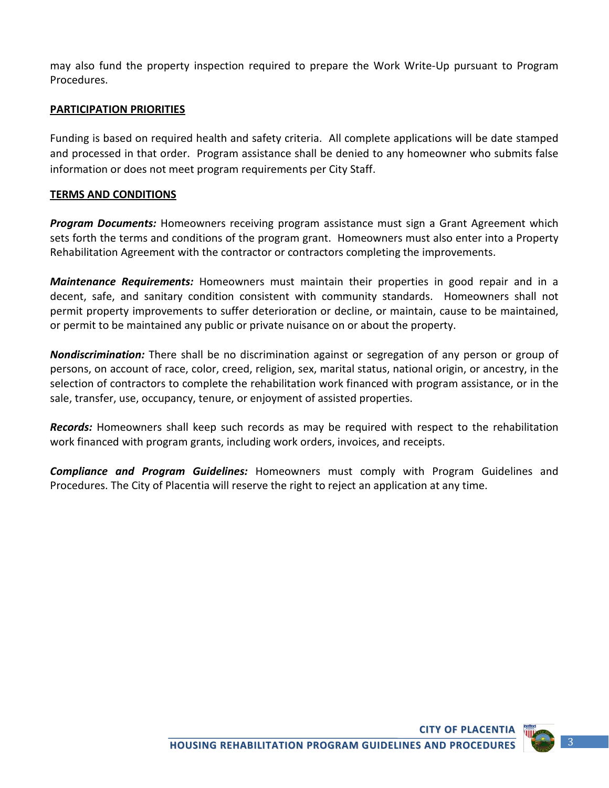may also fund the property inspection required to prepare the Work Write-Up pursuant to Program Procedures.

#### **PARTICIPATION PRIORITIES**

Funding is based on required health and safety criteria. All complete applications will be date stamped and processed in that order. Program assistance shall be denied to any homeowner who submits false information or does not meet program requirements per City Staff.

#### **TERMS AND CONDITIONS**

*Program Documents:* Homeowners receiving program assistance must sign a Grant Agreement which sets forth the terms and conditions of the program grant. Homeowners must also enter into a Property Rehabilitation Agreement with the contractor or contractors completing the improvements.

*Maintenance Requirements:* Homeowners must maintain their properties in good repair and in a decent, safe, and sanitary condition consistent with community standards. Homeowners shall not permit property improvements to suffer deterioration or decline, or maintain, cause to be maintained, or permit to be maintained any public or private nuisance on or about the property.

*Nondiscrimination:* There shall be no discrimination against or segregation of any person or group of persons, on account of race, color, creed, religion, sex, marital status, national origin, or ancestry, in the selection of contractors to complete the rehabilitation work financed with program assistance, or in the sale, transfer, use, occupancy, tenure, or enjoyment of assisted properties.

*Records:* Homeowners shall keep such records as may be required with respect to the rehabilitation work financed with program grants, including work orders, invoices, and receipts.

*Compliance and Program Guidelines:* Homeowners must comply with Program Guidelines and Procedures. The City of Placentia will reserve the right to reject an application at any time.

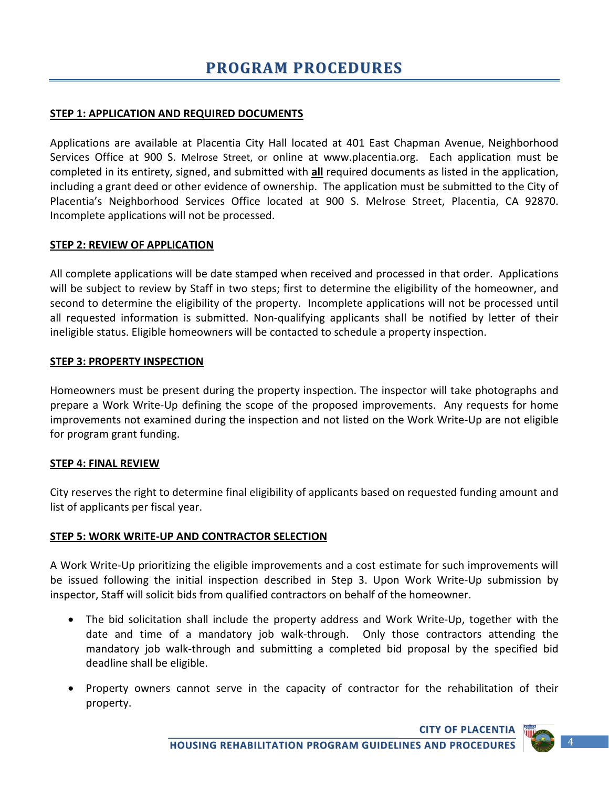#### **STEP 1: APPLICATION AND REQUIRED DOCUMENTS**

Applications are available at Placentia City Hall located at 401 East Chapman Avenue, Neighborhood Services Office at 900 S. Melrose Street, or online at www.placentia.org. Each application must be completed in its entirety, signed, and submitted with **all** required documents as listed in the application, including a grant deed or other evidence of ownership. The application must be submitted to the City of Placentia's Neighborhood Services Office located at 900 S. Melrose Street, Placentia, CA 92870. Incomplete applications will not be processed.

#### **STEP 2: REVIEW OF APPLICATION**

All complete applications will be date stamped when received and processed in that order. Applications will be subject to review by Staff in two steps; first to determine the eligibility of the homeowner, and second to determine the eligibility of the property. Incomplete applications will not be processed until all requested information is submitted. Non-qualifying applicants shall be notified by letter of their ineligible status. Eligible homeowners will be contacted to schedule a property inspection.

#### **STEP 3: PROPERTY INSPECTION**

Homeowners must be present during the property inspection. The inspector will take photographs and prepare a Work Write-Up defining the scope of the proposed improvements. Any requests for home improvements not examined during the inspection and not listed on the Work Write-Up are not eligible for program grant funding.

#### **STEP 4: FINAL REVIEW**

City reserves the right to determine final eligibility of applicants based on requested funding amount and list of applicants per fiscal year.

#### **STEP 5: WORK WRITE-UP AND CONTRACTOR SELECTION**

A Work Write-Up prioritizing the eligible improvements and a cost estimate for such improvements will be issued following the initial inspection described in Step 3. Upon Work Write-Up submission by inspector, Staff will solicit bids from qualified contractors on behalf of the homeowner.

- The bid solicitation shall include the property address and Work Write-Up, together with the date and time of a mandatory job walk-through. Only those contractors attending the mandatory job walk-through and submitting a completed bid proposal by the specified bid deadline shall be eligible.
- Property owners cannot serve in the capacity of contractor for the rehabilitation of their property.



**CITY OF PLACENTIA**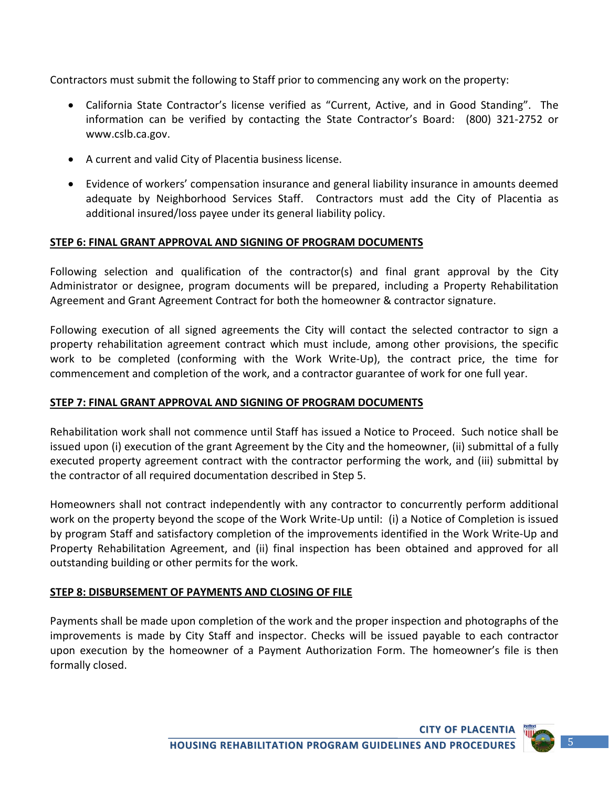Contractors must submit the following to Staff prior to commencing any work on the property:

- California State Contractor's license verified as "Current, Active, and in Good Standing". The information can be verified by contacting the State Contractor's Board: (800) 321-2752 or [www.cslb.ca.gov.](http://www.cslb.ca.gov/)
- A current and valid City of Placentia business license.
- Evidence of workers' compensation insurance and general liability insurance in amounts deemed adequate by Neighborhood Services Staff. Contractors must add the City of Placentia as additional insured/loss payee under its general liability policy.

#### **STEP 6: FINAL GRANT APPROVAL AND SIGNING OF PROGRAM DOCUMENTS**

Following selection and qualification of the contractor(s) and final grant approval by the City Administrator or designee, program documents will be prepared, including a Property Rehabilitation Agreement and Grant Agreement Contract for both the homeowner & contractor signature.

Following execution of all signed agreements the City will contact the selected contractor to sign a property rehabilitation agreement contract which must include, among other provisions, the specific work to be completed (conforming with the Work Write-Up), the contract price, the time for commencement and completion of the work, and a contractor guarantee of work for one full year.

#### **STEP 7: FINAL GRANT APPROVAL AND SIGNING OF PROGRAM DOCUMENTS**

Rehabilitation work shall not commence until Staff has issued a Notice to Proceed. Such notice shall be issued upon (i) execution of the grant Agreement by the City and the homeowner, (ii) submittal of a fully executed property agreement contract with the contractor performing the work, and (iii) submittal by the contractor of all required documentation described in Step 5.

Homeowners shall not contract independently with any contractor to concurrently perform additional work on the property beyond the scope of the Work Write-Up until: (i) a Notice of Completion is issued by program Staff and satisfactory completion of the improvements identified in the Work Write-Up and Property Rehabilitation Agreement, and (ii) final inspection has been obtained and approved for all outstanding building or other permits for the work.

#### **STEP 8: DISBURSEMENT OF PAYMENTS AND CLOSING OF FILE**

Payments shall be made upon completion of the work and the proper inspection and photographs of the improvements is made by City Staff and inspector. Checks will be issued payable to each contractor upon execution by the homeowner of a Payment Authorization Form. The homeowner's file is then formally closed.

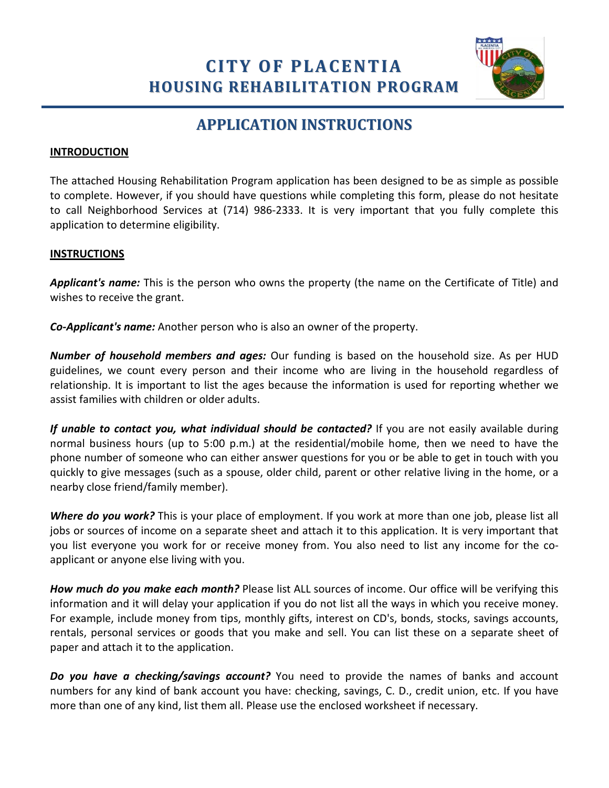**CITY OF PLACENTIA HOUSING REHABILITATION PROGRAM**



### **APPLICATION INSTRUCTIONS**

#### **INTRODUCTION**

The attached Housing Rehabilitation Program application has been designed to be as simple as possible to complete. However, if you should have questions while completing this form, please do not hesitate to call Neighborhood Services at (714) 986-2333. It is very important that you fully complete this application to determine eligibility.

#### **INSTRUCTIONS**

*Applicant's name:* This is the person who owns the property (the name on the Certificate of Title) and wishes to receive the grant.

*Co-Applicant's name:* Another person who is also an owner of the property.

*Number of household members and ages:* Our funding is based on the household size. As per HUD guidelines, we count every person and their income who are living in the household regardless of relationship. It is important to list the ages because the information is used for reporting whether we assist families with children or older adults.

*If unable to contact you, what individual should be contacted?* If you are not easily available during normal business hours (up to 5:00 p.m.) at the residential/mobile home, then we need to have the phone number of someone who can either answer questions for you or be able to get in touch with you quickly to give messages (such as a spouse, older child, parent or other relative living in the home, or a nearby close friend/family member).

*Where do you work?* This is your place of employment. If you work at more than one job, please list all jobs or sources of income on a separate sheet and attach it to this application. It is very important that you list everyone you work for or receive money from. You also need to list any income for the coapplicant or anyone else living with you.

*How much do you make each month?* Please list ALL sources of income. Our office will be verifying this information and it will delay your application if you do not list all the ways in which you receive money. For example, include money from tips, monthly gifts, interest on CD's, bonds, stocks, savings accounts, rentals, personal services or goods that you make and sell. You can list these on a separate sheet of paper and attach it to the application.

*Do you have a checking/savings account?* You need to provide the names of banks and account numbers for any kind of bank account you have: checking, savings, C. D., credit union, etc. If you have more than one of any kind, list them all. Please use the enclosed worksheet if necessary.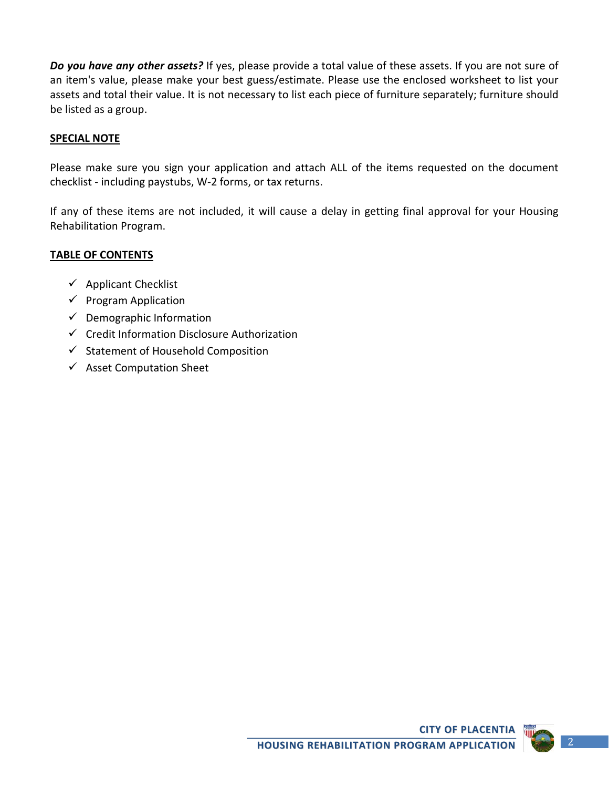*Do you have any other assets?* If yes, please provide a total value of these assets. If you are not sure of an item's value, please make your best guess/estimate. Please use the enclosed worksheet to list your assets and total their value. It is not necessary to list each piece of furniture separately; furniture should be listed as a group.

#### **SPECIAL NOTE**

Please make sure you sign your application and attach ALL of the items requested on the document checklist - including paystubs, W-2 forms, or tax returns.

If any of these items are not included, it will cause a delay in getting final approval for your Housing Rehabilitation Program.

#### **TABLE OF CONTENTS**

- $\checkmark$  Applicant Checklist
- $\checkmark$  Program Application
- $\checkmark$  Demographic Information
- $\checkmark$  Credit Information Disclosure Authorization
- $\checkmark$  Statement of Household Composition
- $\checkmark$  Asset Computation Sheet

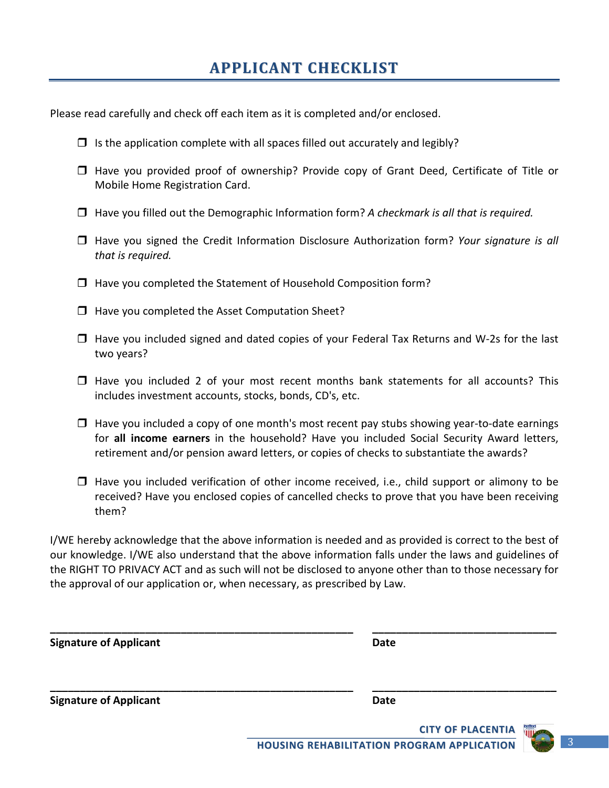Please read carefully and check off each item as it is completed and/or enclosed.

- $\Box$  Is the application complete with all spaces filled out accurately and legibly?
- $\Box$  Have you provided proof of ownership? Provide copy of Grant Deed, Certificate of Title or Mobile Home Registration Card.
- □ Have you filled out the Demographic Information form? A checkmark is all that is required.
- □ Have you signed the Credit Information Disclosure Authorization form? *Your signature is all that is required.*
- $\Box$  Have you completed the Statement of Household Composition form?
- $\Box$  Have you completed the Asset Computation Sheet?
- $\Box$  Have you included signed and dated copies of your Federal Tax Returns and W-2s for the last two years?
- $\Box$  Have you included 2 of your most recent months bank statements for all accounts? This includes investment accounts, stocks, bonds, CD's, etc.
- $\Box$  Have you included a copy of one month's most recent pay stubs showing year-to-date earnings for **all income earners** in the household? Have you included Social Security Award letters, retirement and/or pension award letters, or copies of checks to substantiate the awards?
- $\Box$  Have you included verification of other income received, i.e., child support or alimony to be received? Have you enclosed copies of cancelled checks to prove that you have been receiving them?

I/WE hereby acknowledge that the above information is needed and as provided is correct to the best of our knowledge. I/WE also understand that the above information falls under the laws and guidelines of the RIGHT TO PRIVACY ACT and as such will not be disclosed to anyone other than to those necessary for the approval of our application or, when necessary, as prescribed by Law.

| <b>Signature of Applicant</b> | <b>Date</b> |  |
|-------------------------------|-------------|--|
|                               |             |  |
| <b>Signature of Applicant</b> | <b>Date</b> |  |



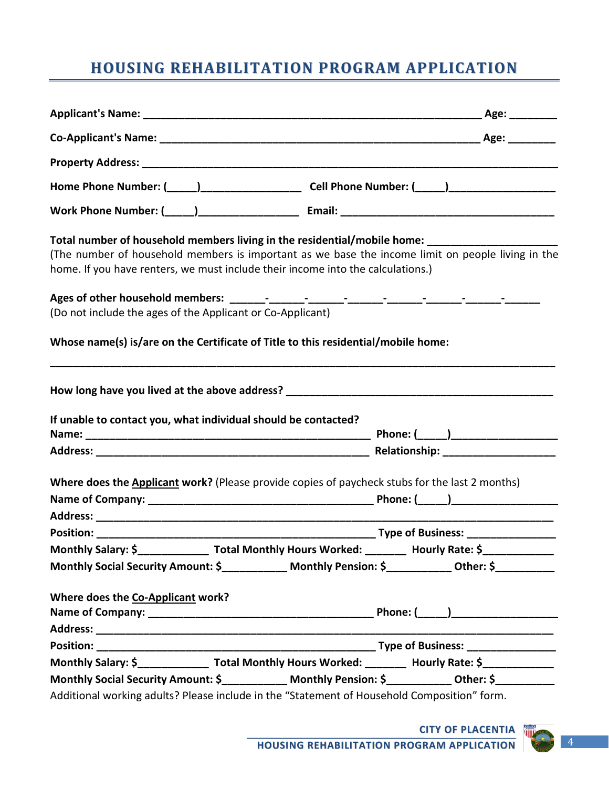## **HOUSING REHABILITATION PROGRAM APPLICATION**

| Home Phone Number: (_____)___________________________Cell Phone Number: (_____)_____________________                                                                                                                                                                            |  |
|---------------------------------------------------------------------------------------------------------------------------------------------------------------------------------------------------------------------------------------------------------------------------------|--|
|                                                                                                                                                                                                                                                                                 |  |
| Total number of household members living in the residential/mobile home: ______________<br>(The number of household members is important as we base the income limit on people living in the<br>home. If you have renters, we must include their income into the calculations.) |  |
| (Do not include the ages of the Applicant or Co-Applicant)                                                                                                                                                                                                                      |  |
| Whose name(s) is/are on the Certificate of Title to this residential/mobile home:                                                                                                                                                                                               |  |
|                                                                                                                                                                                                                                                                                 |  |
| If unable to contact you, what individual should be contacted?                                                                                                                                                                                                                  |  |
|                                                                                                                                                                                                                                                                                 |  |
| Where does the <b>Applicant work?</b> (Please provide copies of paycheck stubs for the last 2 months)                                                                                                                                                                           |  |
|                                                                                                                                                                                                                                                                                 |  |
|                                                                                                                                                                                                                                                                                 |  |
| Monthly Salary: \$______________________ Total Monthly Hours Worked: ___________ Hourly Rate: \$_______________                                                                                                                                                                 |  |
| Monthly Social Security Amount: \$____________ Monthly Pension: \$___________ Other: \$__________                                                                                                                                                                               |  |
| Where does the Co-Applicant work?                                                                                                                                                                                                                                               |  |
|                                                                                                                                                                                                                                                                                 |  |
|                                                                                                                                                                                                                                                                                 |  |
| Monthly Salary: \$_________________ Total Monthly Hours Worked: _________ Hourly Rate: \$____________                                                                                                                                                                           |  |
| Monthly Social Security Amount: \$___________ Monthly Pension: \$__________ Other: \$__________                                                                                                                                                                                 |  |
| Additional working adults? Please include in the "Statement of Household Composition" form.                                                                                                                                                                                     |  |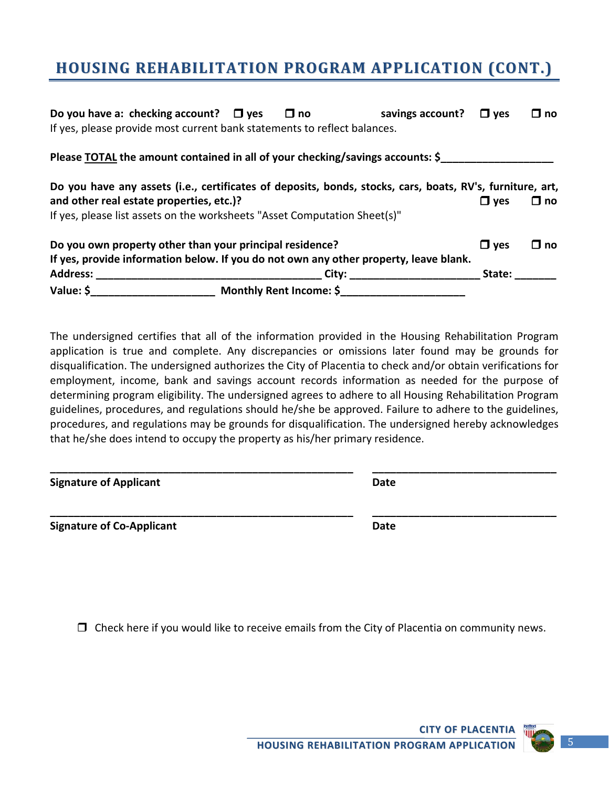### **HOUSING REHABILITATION PROGRAM APPLICATION (CONT.)**

| Do you have a: checking account? $\Box$ yes $\Box$ no                                                     |  | savings account? $\Box$ yes |            | $\square$ no |
|-----------------------------------------------------------------------------------------------------------|--|-----------------------------|------------|--------------|
| If yes, please provide most current bank statements to reflect balances.                                  |  |                             |            |              |
| Please TOTAL the amount contained in all of your checking/savings accounts: \$                            |  |                             |            |              |
| Do you have any assets (i.e., certificates of deposits, bonds, stocks, cars, boats, RV's, furniture, art, |  |                             |            |              |
| and other real estate properties, etc.)?                                                                  |  |                             | $\Box$ yes | $\square$ no |
| If yes, please list assets on the worksheets "Asset Computation Sheet(s)"                                 |  |                             |            |              |
| Do you own property other than your principal residence?                                                  |  |                             | $\Box$ yes | $\square$ no |
| If yes, provide information below. If you do not own any other property, leave blank.                     |  |                             |            |              |
|                                                                                                           |  |                             | State:     |              |
|                                                                                                           |  |                             |            |              |
|                                                                                                           |  |                             |            |              |

The undersigned certifies that all of the information provided in the Housing Rehabilitation Program application is true and complete. Any discrepancies or omissions later found may be grounds for disqualification. The undersigned authorizes the City of Placentia to check and/or obtain verifications for employment, income, bank and savings account records information as needed for the purpose of determining program eligibility. The undersigned agrees to adhere to all Housing Rehabilitation Program guidelines, procedures, and regulations should he/she be approved. Failure to adhere to the guidelines, procedures, and regulations may be grounds for disqualification. The undersigned hereby acknowledges that he/she does intend to occupy the property as his/her primary residence.

| <b>Signature of Applicant</b>    | <b>Date</b> |
|----------------------------------|-------------|
| <b>Signature of Co-Applicant</b> | <b>Date</b> |

 $\Box$  Check here if you would like to receive emails from the City of Placentia on community news.

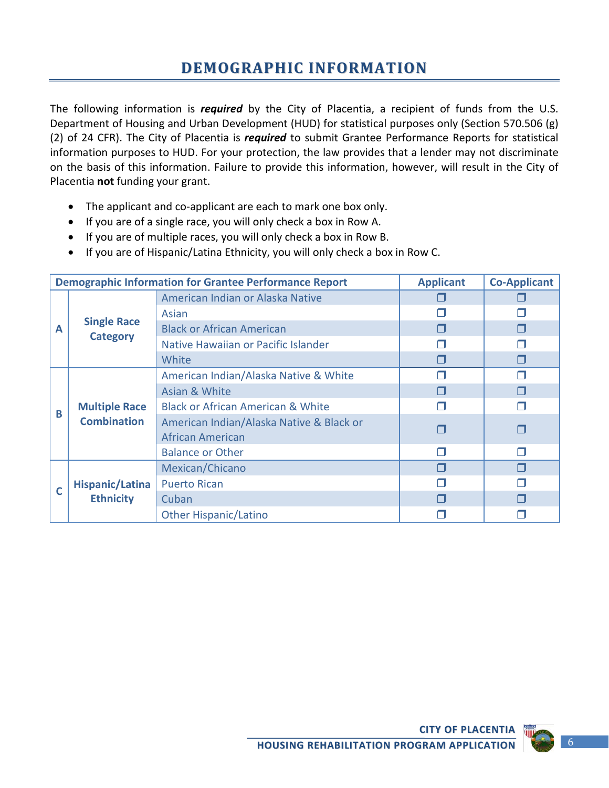The following information is *required* by the City of Placentia, a recipient of funds from the U.S. Department of Housing and Urban Development (HUD) for statistical purposes only (Section 570.506 (g) (2) of 24 CFR). The City of Placentia is *required* to submit Grantee Performance Reports for statistical information purposes to HUD. For your protection, the law provides that a lender may not discriminate on the basis of this information. Failure to provide this information, however, will result in the City of Placentia **not** funding your grant.

- The applicant and co-applicant are each to mark one box only.
- If you are of a single race, you will only check a box in Row A.
- If you are of multiple races, you will only check a box in Row B.
- If you are of Hispanic/Latina Ethnicity, you will only check a box in Row C.

|   | <b>Demographic Information for Grantee Performance Report</b> | <b>Applicant</b>                                             | <b>Co-Applicant</b> |  |
|---|---------------------------------------------------------------|--------------------------------------------------------------|---------------------|--|
|   | American Indian or Alaska Native                              |                                                              |                     |  |
|   |                                                               | Asian                                                        |                     |  |
| A | <b>Single Race</b>                                            | <b>Black or African American</b>                             |                     |  |
|   | <b>Category</b>                                               | Native Hawaiian or Pacific Islander                          |                     |  |
|   |                                                               | White                                                        |                     |  |
|   |                                                               | American Indian/Alaska Native & White                        | П                   |  |
|   |                                                               | Asian & White                                                |                     |  |
| B | <b>Multiple Race</b>                                          | <b>Black or African American &amp; White</b>                 |                     |  |
|   | <b>Combination</b>                                            | American Indian/Alaska Native & Black or<br>African American |                     |  |
|   |                                                               | <b>Balance or Other</b>                                      |                     |  |
|   |                                                               | Mexican/Chicano                                              |                     |  |
| C | <b>Hispanic/Latina</b>                                        | <b>Puerto Rican</b>                                          |                     |  |
|   | <b>Ethnicity</b>                                              | Cuban                                                        |                     |  |
|   |                                                               | <b>Other Hispanic/Latino</b>                                 |                     |  |

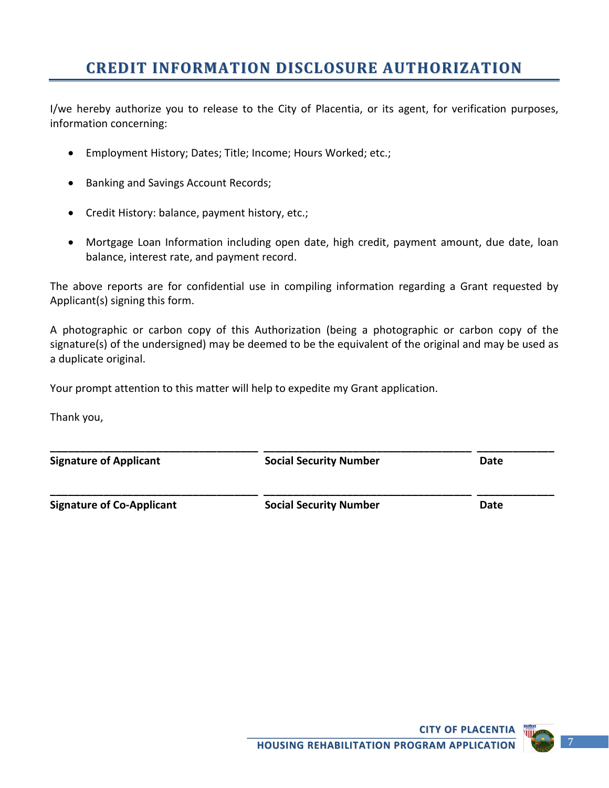### **CREDIT INFORMATION DISCLOSURE AUTHORIZATION**

I/we hereby authorize you to release to the City of Placentia, or its agent, for verification purposes, information concerning:

- Employment History; Dates; Title; Income; Hours Worked; etc.;
- Banking and Savings Account Records;
- Credit History: balance, payment history, etc.;
- Mortgage Loan Information including open date, high credit, payment amount, due date, loan balance, interest rate, and payment record.

The above reports are for confidential use in compiling information regarding a Grant requested by Applicant(s) signing this form.

A photographic or carbon copy of this Authorization (being a photographic or carbon copy of the signature(s) of the undersigned) may be deemed to be the equivalent of the original and may be used as a duplicate original.

Your prompt attention to this matter will help to expedite my Grant application.

Thank you,

| <b>Signature of Applicant</b>    | <b>Social Security Number</b> | Date |
|----------------------------------|-------------------------------|------|
| <b>Signature of Co-Applicant</b> | <b>Social Security Number</b> | Date |

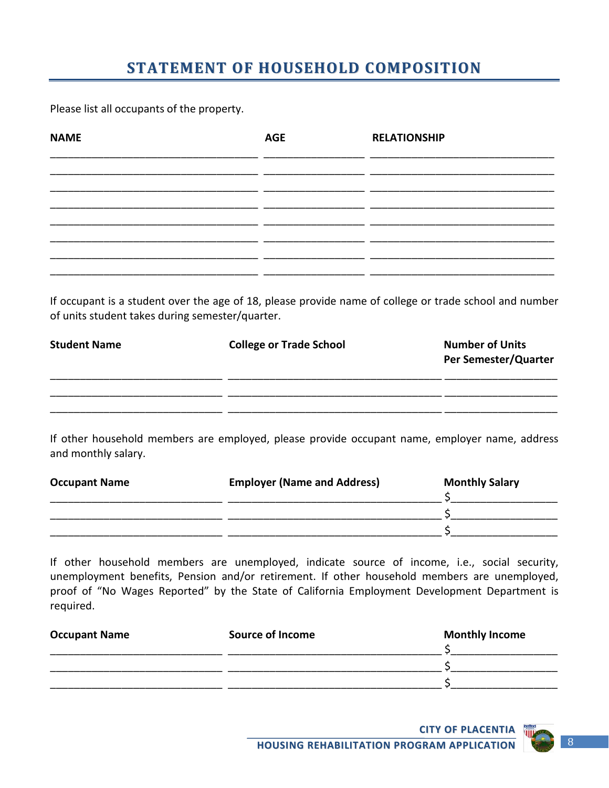## **STATEMENT OF HOUSEHOLD COMPOSITION**

Please list all occupants of the property.

| <b>NAME</b> | <b>AGE</b> | <b>RELATIONSHIP</b> |
|-------------|------------|---------------------|
|             |            |                     |
|             |            |                     |
|             |            |                     |
|             |            |                     |
|             |            |                     |

If occupant is a student over the age of 18, please provide name of college or trade school and number of units student takes during semester/quarter.

| <b>Student Name</b> | <b>College or Trade School</b> | <b>Number of Units</b><br>Per Semester/Quarter |
|---------------------|--------------------------------|------------------------------------------------|
|                     |                                |                                                |

If other household members are employed, please provide occupant name, employer name, address and monthly salary.

| <b>Occupant Name</b> | <b>Employer (Name and Address)</b> | <b>Monthly Salary</b> |
|----------------------|------------------------------------|-----------------------|
|                      |                                    |                       |
|                      |                                    |                       |
|                      |                                    |                       |

If other household members are unemployed, indicate source of income, i.e., social security, unemployment benefits, Pension and/or retirement. If other household members are unemployed, proof of "No Wages Reported" by the State of California Employment Development Department is required.

| <b>Occupant Name</b> | <b>Source of Income</b> | <b>Monthly Income</b> |
|----------------------|-------------------------|-----------------------|
|                      |                         |                       |
|                      |                         |                       |
|                      |                         |                       |